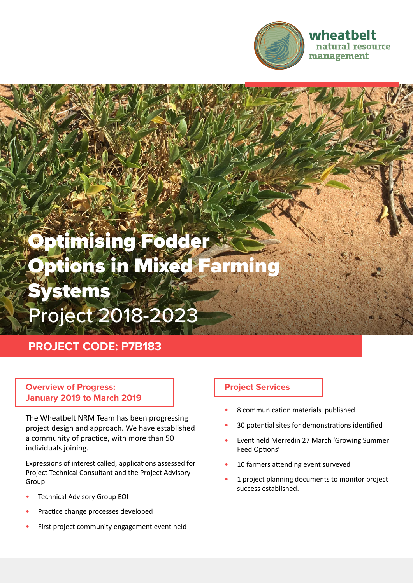

### wheatbelt natural resource management

# Optimising Fodder Jetions in Mixed **Systems** Project 2018-2023

## **PROJECT CODE: P7B183**

#### **Overview of Progress: January 2019 to March 2019**

The Wheatbelt NRM Team has been progressing project design and approach. We have established a community of practice, with more than 50 individuals joining.

Expressions of interest called, applications assessed for Project Technical Consultant and the Project Advisory Group

- **Technical Advisory Group EOI**
- Practice change processes developed
- First project community engagement event held

#### **Project Services**

- 8 communication materials published
- 30 potential sites for demonstrations identified
- Event held Merredin 27 March 'Growing Summer Feed Options'
- 10 farmers attending event surveyed
- 1 project planning documents to monitor project success established.